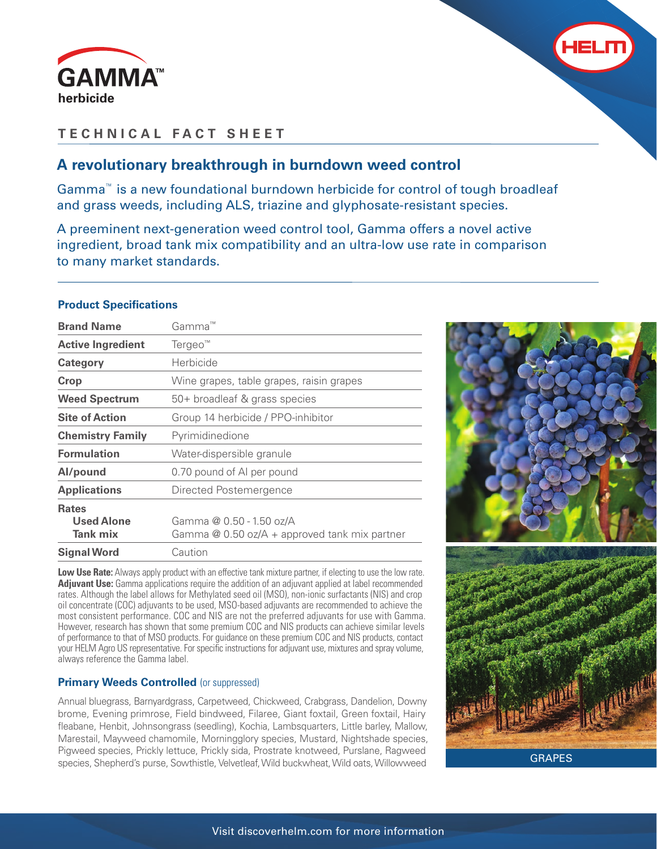



## **TECHNICAL FACT SHEET**

## **A revolutionary breakthrough in burndown weed control**

Gamma™ is a new foundational burndown herbicide for control of tough broadleaf and grass weeds, including ALS, triazine and glyphosate-resistant species.

A preeminent next-generation weed control tool, Gamma offers a novel active ingredient, broad tank mix compatibility and an ultra-low use rate in comparison to many market standards.

## **Product Specifications**

| <b>Brand Name</b>                                    | Gamma™                                                                      |
|------------------------------------------------------|-----------------------------------------------------------------------------|
| <b>Active Ingredient</b>                             | $Tergeo^m$                                                                  |
| Category                                             | Herbicide                                                                   |
| Crop                                                 | Wine grapes, table grapes, raisin grapes                                    |
| <b>Weed Spectrum</b>                                 | 50+ broadleaf & grass species                                               |
| <b>Site of Action</b>                                | Group 14 herbicide / PPO-inhibitor                                          |
| <b>Chemistry Family</b>                              | Pyrimidinedione                                                             |
| <b>Formulation</b>                                   | Water-dispersible granule                                                   |
| Al/pound                                             | 0.70 pound of AI per pound                                                  |
| <b>Applications</b>                                  | Directed Postemergence                                                      |
| <b>Rates</b><br><b>Used Alone</b><br><b>Tank mix</b> | Gamma @ 0.50 - 1.50 oz/A<br>Gamma $@$ 0.50 oz/A + approved tank mix partner |
| <b>Signal Word</b>                                   | Caution                                                                     |

Low Use Rate: Always apply product with an effective tank mixture partner, if electing to use the low rate. **Adjuvant Use:** Gamma applications require the addition of an adjuvant applied at label recommended rates. Although the label allows for Methylated seed oil (MSO), non-ionic surfactants (NIS) and crop oil concentrate (COC) adjuvants to be used, MSO-based adjuvants are recommended to achieve the most consistent performance. COC and NIS are not the preferred adjuvants for use with Gamma. However, research has shown that some premium COC and NIS products can achieve similar levels of performance to that of MSO products. For guidance on these premium COC and NIS products, contact your HELM Agro US representative. For specific instructions for adjuvant use, mixtures and spray volume, always reference the Gamma label.

## **Primary Weeds Controlled (or suppressed)**

Annual bluegrass, Barnyardgrass, Carpetweed, Chickweed, Crabgrass, Dandelion, Downy brome, Evening primrose, Field bindweed, Filaree, Giant foxtail, Green foxtail, Hairy fleabane, Henbit, Johnsongrass (seedling), Kochia, Lambsquarters, Little barley, Mallow, Marestail, Mayweed chamomile, Morningglory species, Mustard, Nightshade species, Pigweed species, Prickly lettuce, Prickly sida, Prostrate knotweed, Purslane, Ragweed species, Shepherd's purse, Sowthistle, Velvetleaf, Wild buckwheat, Wild oats, Willowweed